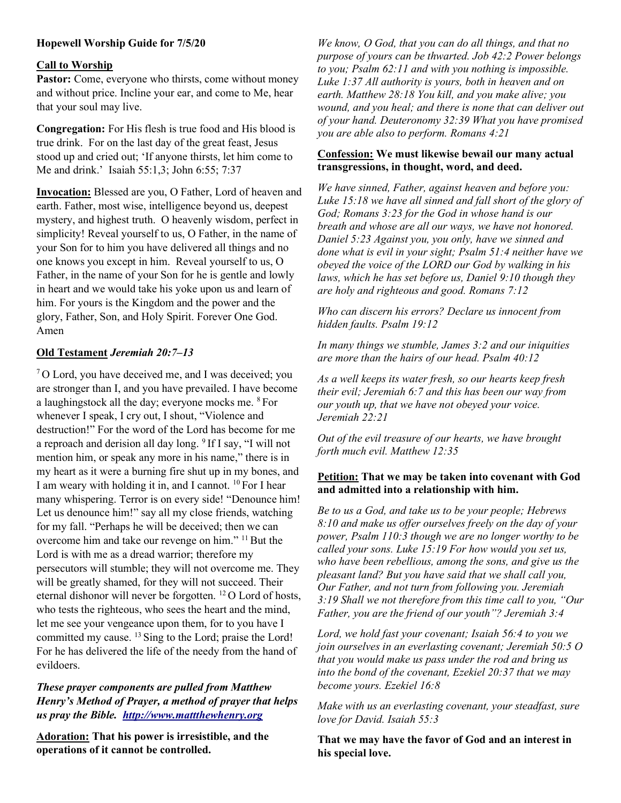# Hopewell Worship Guide for 7/5/20

## Call to Worship

Pastor: Come, everyone who thirsts, come without money and without price. Incline your ear, and come to Me, hear that your soul may live.

Congregation: For His flesh is true food and His blood is true drink. For on the last day of the great feast, Jesus stood up and cried out; 'If anyone thirsts, let him come to Me and drink.' Isaiah 55:1,3; John 6:55; 7:37

Invocation: Blessed are you, O Father, Lord of heaven and earth. Father, most wise, intelligence beyond us, deepest mystery, and highest truth. O heavenly wisdom, perfect in simplicity! Reveal yourself to us, O Father, in the name of your Son for to him you have delivered all things and no one knows you except in him. Reveal yourself to us, O Father, in the name of your Son for he is gentle and lowly in heart and we would take his yoke upon us and learn of him. For yours is the Kingdom and the power and the glory, Father, Son, and Holy Spirit. Forever One God. Amen

## Old Testament Jeremiah 20:7–13

<sup>7</sup>O Lord, you have deceived me, and I was deceived; you are stronger than I, and you have prevailed. I have become a laughingstock all the day; everyone mocks me. <sup>8</sup>For whenever I speak, I cry out, I shout, "Violence and destruction!" For the word of the Lord has become for me a reproach and derision all day long. <sup>9</sup>If I say, "I will not mention him, or speak any more in his name," there is in my heart as it were a burning fire shut up in my bones, and I am weary with holding it in, and I cannot. <sup>10</sup> For I hear many whispering. Terror is on every side! "Denounce him! Let us denounce him!" say all my close friends, watching for my fall. "Perhaps he will be deceived; then we can overcome him and take our revenge on him." <sup>11</sup> But the Lord is with me as a dread warrior; therefore my persecutors will stumble; they will not overcome me. They will be greatly shamed, for they will not succeed. Their eternal dishonor will never be forgotten.  $^{12}$  O Lord of hosts, who tests the righteous, who sees the heart and the mind, let me see your vengeance upon them, for to you have I committed my cause. <sup>13</sup> Sing to the Lord; praise the Lord! For he has delivered the life of the needy from the hand of evildoers.

These prayer components are pulled from Matthew Henry's Method of Prayer, a method of prayer that helps us pray the Bible. http://www.mattthewhenry.org

Adoration: That his power is irresistible, and the operations of it cannot be controlled.

We know, O God, that you can do all things, and that no purpose of yours can be thwarted. Job 42:2 Power belongs to you; Psalm 62:11 and with you nothing is impossible. Luke 1:37 All authority is yours, both in heaven and on earth. Matthew 28:18 You kill, and you make alive; you wound, and you heal; and there is none that can deliver out of your hand. Deuteronomy 32:39 What you have promised you are able also to perform. Romans 4:21

#### Confession: We must likewise bewail our many actual transgressions, in thought, word, and deed.

We have sinned, Father, against heaven and before you: Luke 15:18 we have all sinned and fall short of the glory of God; Romans 3:23 for the God in whose hand is our breath and whose are all our ways, we have not honored. Daniel 5:23 Against you, you only, have we sinned and done what is evil in your sight; Psalm 51:4 neither have we obeyed the voice of the LORD our God by walking in his laws, which he has set before us, Daniel 9:10 though they are holy and righteous and good. Romans 7:12

Who can discern his errors? Declare us innocent from hidden faults. Psalm 19:12

In many things we stumble, James 3:2 and our iniquities are more than the hairs of our head. Psalm 40:12

As a well keeps its water fresh, so our hearts keep fresh their evil; Jeremiah 6:7 and this has been our way from our youth up, that we have not obeyed your voice. Jeremiah 22:21

Out of the evil treasure of our hearts, we have brought forth much evil. Matthew 12:35

## Petition: That we may be taken into covenant with God and admitted into a relationship with him.

Be to us a God, and take us to be your people; Hebrews 8:10 and make us offer ourselves freely on the day of your power, Psalm 110:3 though we are no longer worthy to be called your sons. Luke 15:19 For how would you set us, who have been rebellious, among the sons, and give us the pleasant land? But you have said that we shall call you, Our Father, and not turn from following you. Jeremiah 3:19 Shall we not therefore from this time call to you, "Our Father, you are the friend of our youth"? Jeremiah 3:4

Lord, we hold fast your covenant; Isaiah 56:4 to you we join ourselves in an everlasting covenant; Jeremiah 50:5 O that you would make us pass under the rod and bring us into the bond of the covenant, Ezekiel 20:37 that we may become yours. Ezekiel 16:8

Make with us an everlasting covenant, your steadfast, sure love for David. Isaiah 55:3

That we may have the favor of God and an interest in his special love.